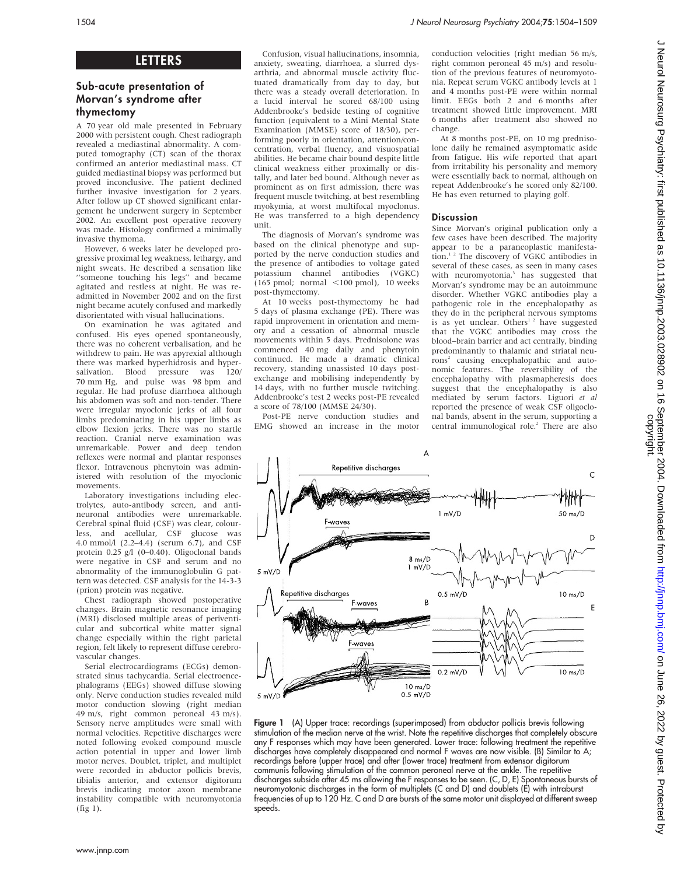# **LETTERS**

# Sub-acute presentation of Morvan's syndrome after thymectomy

A 70 year old male presented in February 2000 with persistent cough. Chest radiograph revealed a mediastinal abnormality. A computed tomography (CT) scan of the thorax confirmed an anterior mediastinal mass. CT guided mediastinal biopsy was performed but proved inconclusive. The patient declined further invasive investigation for 2 years. After follow up CT showed significant enlargement he underwent surgery in September 2002. An excellent post operative recovery was made. Histology confirmed a minimally invasive thymoma.

However, 6 weeks later he developed progressive proximal leg weakness, lethargy, and night sweats. He described a sensation like ''someone touching his legs'' and became agitated and restless at night. He was readmitted in November 2002 and on the first night became acutely confused and markedly disorientated with visual hallucinations.

On examination he was agitated and confused. His eyes opened spontaneously, there was no coherent verbalisation, and he withdrew to pain. He was apyrexial although there was marked hyperhidrosis and hypersalivation. Blood pressure was 120/ 70 mm Hg, and pulse was 98 bpm and regular. He had profuse diarrhoea although his abdomen was soft and non-tender. There were irregular myoclonic jerks of all four limbs predominating in his upper limbs as elbow flexion jerks. There was no startle reaction. Cranial nerve examination was unremarkable. Power and deep tendon reflexes were normal and plantar responses flexor. Intravenous phenytoin was administered with resolution of the myoclonic movements.

Laboratory investigations including electrolytes, auto-antibody screen, and antineuronal antibodies were unremarkable. Cerebral spinal fluid (CSF) was clear, colourless, and acellular, CSF glucose was 4.0 mmol/l (2.2–4.4) (serum 6.7), and CSF protein 0.25 g/l (0–0.40). Oligoclonal bands were negative in CSF and serum and no abnormality of the immunoglobulin G pattern was detected. CSF analysis for the 14-3-3 (prion) protein was negative.

Chest radiograph showed postoperative changes. Brain magnetic resonance imaging (MRI) disclosed multiple areas of periventicular and subcortical white matter signal change especially within the right parietal region, felt likely to represent diffuse cerebrovascular changes.

Serial electrocardiograms (ECGs) demonstrated sinus tachycardia. Serial electroencephalograms (EEGs) showed diffuse slowing only. Nerve conduction studies revealed mild motor conduction slowing (right median 49 m/s, right common peroneal 43 m/s). Sensory nerve amplitudes were small with normal velocities. Repetitive discharges were noted following evoked compound muscle action potential in upper and lower limb motor nerves. Doublet, triplet, and multiplet were recorded in abductor pollicis brevis, tibialis anterior, and extensor digitorum brevis indicating motor axon membrane instability compatible with neuromyotonia (fig 1).

Confusion, visual hallucinations, insomnia, anxiety, sweating, diarrhoea, a slurred dysarthria, and abnormal muscle activity fluctuated dramatically from day to day, but there was a steady overall deterioration. In a lucid interval he scored 68/100 using Addenbrooke's bedside testing of cognitive function (equivalent to a Mini Mental State Examination (MMSE) score of 18/30), performing poorly in orientation, attention/concentration, verbal fluency, and visuospatial abilities. He became chair bound despite little clinical weakness either proximally or distally, and later bed bound. Although never as prominent as on first admission, there was frequent muscle twitching, at best resembling myokymia, at worst multifocal myoclonus. He was transferred to a high dependency unit.

The diagnosis of Morvan's syndrome was based on the clinical phenotype and supported by the nerve conduction studies and the presence of antibodies to voltage gated potassium channel antibodies (VGKC) (165 pmol; normal  $\leq$ 100 pmol), 10 weeks post-thymectomy.

At 10 weeks post-thymectomy he had 5 days of plasma exchange (PE). There was rapid improvement in orientation and memory and a cessation of abnormal muscle movements within 5 days. Prednisolone was commenced 40 mg daily and phenytoin continued. He made a dramatic clinical recovery, standing unassisted 10 days postexchange and mobilising independently by 14 days, with no further muscle twitching. Addenbrooke's test 2 weeks post-PE revealed a score of 78/100 (MMSE 24/30).

Post-PE nerve conduction studies and EMG showed an increase in the motor

conduction velocities (right median 56 m/s, right common peroneal 45 m/s) and resolution of the previous features of neuromyotonia. Repeat serum VGKC antibody levels at 1 and 4 months post-PE were within normal limit. EEGs both 2 and 6 months after treatment showed little improvement. MRI 6 months after treatment also showed no change.

At 8 months post-PE, on 10 mg prednisolone daily he remained asymptomatic aside from fatigue. His wife reported that apart from irritability his personality and memory were essentially back to normal, although on repeat Addenbrooke's he scored only 82/100. He has even returned to playing golf.

# Discussion

Since Morvan's original publication only a few cases have been described. The majority appear to be a paraneoplastic manifestation.1 2 The discovery of VGKC antibodies in several of these cases, as seen in many cases with neuromyotonia,<sup>3</sup> has suggested that Morvan's syndrome may be an autoimmune disorder. Whether VGKC antibodies play a pathogenic role in the encephalopathy as they do in the peripheral nervous symptoms is as yet unclear. Others<sup>12</sup> have suggested that the VGKC antibodies may cross the blood–brain barrier and act centrally, binding predominantly to thalamic and striatal neurons<sup>2</sup> causing encephalopathic and autonomic features. The reversibility of the encephalopathy with plasmapheresis does suggest that the encephalopathy is also mediated by serum factors. Liguori et al reported the presence of weak CSF oligoclonal bands, absent in the serum, supporting a central immunological role.<sup>2</sup> There are also



Figure 1 (A) Upper trace: recordings (superimposed) from abductor pollicis brevis following stimulation of the median nerve at the wrist. Note the repetitive discharges that completely obscure any F responses which may have been generated. Lower trace: following treatment the repetitive discharges have completely disappeared and normal F waves are now visible. (B) Similar to A; recordings before (upper trace) and after (lower trace) treatment from extensor digitorum communis following stimulation of the common peroneal nerve at the ankle. The repetitive discharges subside after 45 ms allowing the F responses to be seen. (C, D, E) Spontaneous bursts of neuromyotonic discharges in the form of multiplets (C and D) and doublets (E) with intraburst frequencies of up to 120 Hz. C and D are bursts of the same motor unit displayed at different sweep speeds.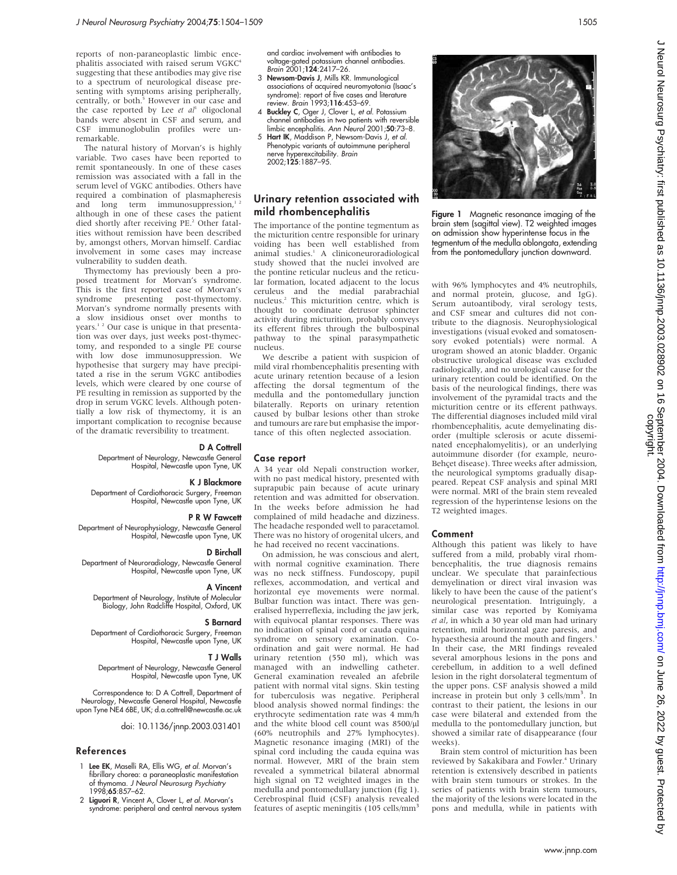reports of non-paraneoplastic limbic encephalitis associated with raised serum VGKC4 suggesting that these antibodies may give rise to a spectrum of neurological disease presenting with symptoms arising peripherally, centrally, or both.<sup>5</sup> However in our case and the case reported by Lee  $et$   $al<sup>1</sup>$  oligoclonal bands were absent in CSF and serum, and CSF immunoglobulin profiles were unremarkable.

The natural history of Morvan's is highly variable. Two cases have been reported to remit spontaneously. In one of these cases remission was associated with a fall in the serum level of VGKC antibodies. Others have required a combination of plasmapheresis and  $\log$  term immunosuppression,<sup>12</sup> although in one of these cases the patient died shortly after receiving PE.<sup>2</sup> Other fatalities without remission have been described by, amongst others, Morvan himself. Cardiac involvement in some cases may increase vulnerability to sudden death.

Thymectomy has previously been a proposed treatment for Morvan's syndrome. This is the first reported case of Morvan's syndrome presenting post-thymectomy. Morvan's syndrome normally presents with a slow insidious onset over months to years.1 2 Our case is unique in that presentation was over days, just weeks post-thymectomy, and responded to a single PE course with low dose immunosuppression. We hypothesise that surgery may have precipitated a rise in the serum VGKC antibodies levels, which were cleared by one course of PE resulting in remission as supported by the drop in serum VGKC levels. Although potentially a low risk of thymectomy, it is an important complication to recognise because of the dramatic reversibility to treatment.

#### D A Cottrell

Department of Neurology, Newcastle General Hospital, Newcastle upon Tyne, UK

#### K J Blackmore

Department of Cardiothoracic Surgery, Freeman Hospital, Newcastle upon Tyne, UK

#### P R W Fawcett

Department of Neurophysiology, Newcastle General Hospital, Newcastle upon Tyne, UK

D Birchall Department of Neuroradiology, Newcastle General Hospital, Newcastle upon Tyne, UK

#### A Vincent

Department of Neurology, Institute of Molecular Biology, John Radcliffe Hospital, Oxford, UK

#### S Barnard

Department of Cardiothoracic Surgery, Freeman Hospital, Newcastle upon Tyne, UK

#### T J Walls

Department of Neurology, Newcastle General Hospital, Newcastle upon Tyne, UK

Correspondence to: D A Cottrell, Department of Neurology, Newcastle General Hospital, Newcastle upon Tyne NE4 6BE, UK; d.a.cottrell@newcastle.ac.uk

doi: 10.1136/jnnp.2003.031401

#### References

- 1 Lee EK, Maselli RA, Ellis WG, et al. Morvan's fibrillary chorea: a paraneoplastic manifestation of thymoma. J Neurol Neurosurg Psychiatry 1998;65:857–62.
- 2 Liguori R, Vincent A, Clover L, et al. Morvan's syndrome: peripheral and central nervous system

and cardiac involvement with antibodies to voltage-gated potassium channel antibodies. Brain 2001;124:2417–26.

- 3 Newsom-Davis J, Mills KR. Immunological associations of acquired neuromyotonia (Isaac's syndrome): report of five cases and literature review. Brain 1993;116:453–69.
- 4 Buckley C, Oger J, Clover L, et al. Potassium channel antibodies in two patients with reversible limbic encephalitis. Ann Neurol 2001;50:73–8.
- 5 Hart IK, Maddison P, Newsom-Davis J, et al. Phenotypic variants of autoimmune peripheral nerve hyperexcitability. Brain 2002;125:1887–95.

# Urinary retention associated with mild rhombencephalitis

The importance of the pontine tegmentum as the micturition centre responsible for urinary voiding has been well established from animal studies.<sup>1</sup> A cliniconeuroradiological study showed that the nuclei involved are the pontine reticular nucleus and the reticular formation, located adjacent to the locus ceruleus and the medial parabrachial nucleus.2 This micturition centre, which is thought to coordinate detrusor sphincter activity during micturition, probably conveys its efferent fibres through the bulbospinal pathway to the spinal parasympathetic nucleus.

We describe a patient with suspicion of mild viral rhombencephalitis presenting with acute urinary retention because of a lesion affecting the dorsal tegmentum of the medulla and the pontomedullary junction bilaterally. Reports on urinary retention caused by bulbar lesions other than stroke and tumours are rare but emphasise the importance of this often neglected association.

#### Case report

A 34 year old Nepali construction worker, with no past medical history, presented with suprapubic pain because of acute urinary retention and was admitted for observation. In the weeks before admission he had complained of mild headache and dizziness. The headache responded well to paracetamol. There was no history of orogenital ulcers, and he had received no recent vaccinations.

On admission, he was conscious and alert, with normal cognitive examination. There was no neck stiffness. Fundoscopy, pupil reflexes, accommodation, and vertical and horizontal eye movements were normal. Bulbar function was intact. There was generalised hyperreflexia, including the jaw jerk, with equivocal plantar responses. There was no indication of spinal cord or cauda equina syndrome on sensory examination. Coordination and gait were normal. He had urinary retention (550 ml), which was managed with an indwelling catheter. General examination revealed an afebrile patient with normal vital signs. Skin testing for tuberculosis was negative. Peripheral blood analysis showed normal findings: the erythrocyte sedimentation rate was 4 mm/h and the white blood cell count was 8500/µl (60% neutrophils and 27% lymphocytes). Magnetic resonance imaging (MRI) of the spinal cord including the cauda equina was normal. However, MRI of the brain stem revealed a symmetrical bilateral abnormal high signal on T2 weighted images in the medulla and pontomedullary junction (fig 1). Cerebrospinal fluid (CSF) analysis revealed features of aseptic meningitis (105 cells/mm3



Figure 1 Magnetic resonance imaging of the brain stem (sagittal view). T2 weighted images on admission show hyperintense focus in the tegmentum of the medulla oblongata, extending from the pontomedullary junction downward.

with 96% lymphocytes and 4% neutrophils, and normal protein, glucose, and IgG). Serum autoantibody, viral serology tests, and CSF smear and cultures did not contribute to the diagnosis. Neurophysiological investigations (visual evoked and somatosensory evoked potentials) were normal. A urogram showed an atonic bladder. Organic obstructive urological disease was excluded radiologically, and no urological cause for the urinary retention could be identified. On the basis of the neurological findings, there was involvement of the pyramidal tracts and the micturition centre or its efferent pathways. The differential diagnoses included mild viral rhombencephalitis, acute demyelinating disorder (multiple sclerosis or acute disseminated encephalomyelitis), or an underlying autoimmune disorder (for example, neuro-Behçet disease). Three weeks after admission, the neurological symptoms gradually disappeared. Repeat CSF analysis and spinal MRI were normal. MRI of the brain stem revealed regression of the hyperintense lesions on the T2 weighted images.

#### Comment

Although this patient was likely to have suffered from a mild, probably viral rhombencephalitis, the true diagnosis remains unclear. We speculate that parainfectious demyelination or direct viral invasion was likely to have been the cause of the patient's neurological presentation. Intriguingly, a similar case was reported by Komiyama et al, in which a 30 year old man had urinary retention, mild horizontal gaze paresis, and hypaesthesia around the mouth and fingers.<sup>3</sup> In their case, the MRI findings revealed several amorphous lesions in the pons and cerebellum, in addition to a well defined lesion in the right dorsolateral tegmentum of the upper pons. CSF analysis showed a mild increase in protein but only 3 cells/mm<sup>3</sup>. In contrast to their patient, the lesions in our case were bilateral and extended from the medulla to the pontomedullary junction, but showed a similar rate of disappearance (four weeks).

Brain stem control of micturition has been reviewed by Sakakibara and Fowler.<sup>4</sup> Urinary retention is extensively described in patients with brain stem tumours or strokes. In the series of patients with brain stem tumours, the majority of the lesions were located in the pons and medulla, while in patients with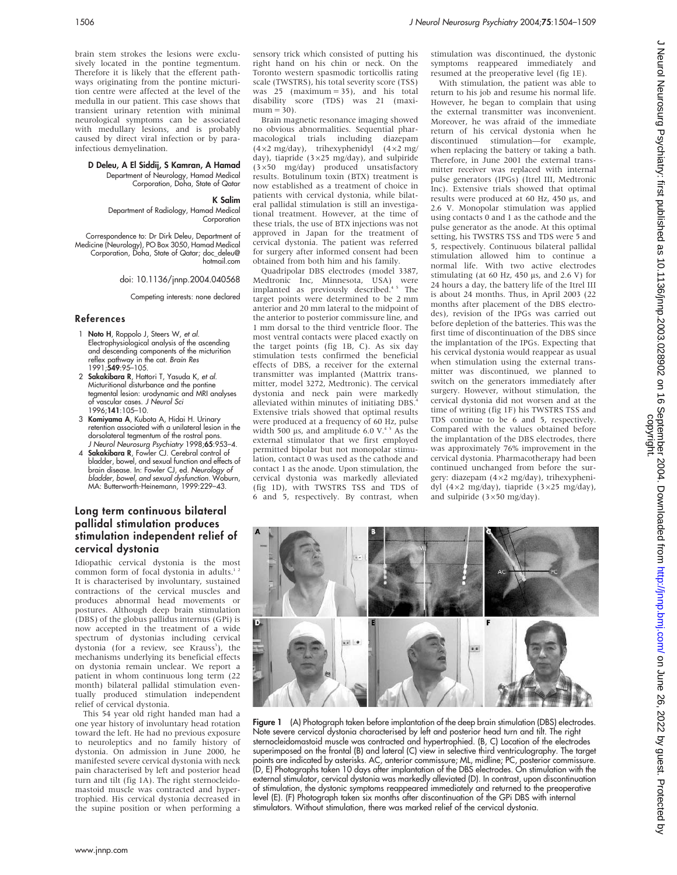brain stem strokes the lesions were exclusively located in the pontine tegmentum. Therefore it is likely that the efferent pathways originating from the pontine micturition centre were affected at the level of the medulla in our patient. This case shows that transient urinary retention with minimal neurological symptoms can be associated with medullary lesions, and is probably caused by direct viral infection or by parainfectious demyelination.

D Deleu, A El Siddij, S Kamran, A Hamad

Department of Neurology, Hamad Medical Corporation, Doha, State of Qatar

# K Salim

Department of Radiology, Hamad Medical **Corporation** 

Correspondence to: Dr Dirk Deleu, Department of Medicine (Neurology), PO Box 3050, Hamad Medical Corporation, Doha, State of Qatar; doc\_deleu@ hotmail.com

doi: 10.1136/jnnp.2004.040568

Competing interests: none declared

# References

- 1 Noto H, Roppolo J, Steers W, et al. Electrophysiological analysis of the ascending and descending components of the micturition reflex pathway in the cat. Brain Res 1991;549:95–105.
- 2 Sakakibara R, Hattori T, Yasuda K, et al. Micturitional disturbance and the pontine tegmental lesion: urodynamic and MRI analyses of vascular cases. J Neurol Sci 1996;141:105–10.
- 3 Komiyama A, Kubota A, Hidai H. Urinary retention associated with a unilateral lesion in the dorsolateral tegmentum of the rostral pons. J Neurol Neurosurg Psychiatry 1998;65:953-4.
- 4 Sakakibara R, Fowler CJ. Cerebral control of bladder, bowel, and sexual function and effects of brain disease. In: Fowler CJ, ed. Neurology of bladder, bowel, and sexual dysfunction. Woburn, MA: Butterworth-Heinemann, 1999:229–43.

# Long term continuous bilateral pallidal stimulation produces stimulation independent relief of cervical dystonia

Idiopathic cervical dystonia is the most common form of focal dystonia in adults.<sup>1</sup> It is characterised by involuntary, sustained contractions of the cervical muscles and produces abnormal head movements or postures. Although deep brain stimulation (DBS) of the globus pallidus internus (GPi) is now accepted in the treatment of a wide spectrum of dystonias including cervical dystonia (for a review, see Krauss<sup>3</sup>), the mechanisms underlying its beneficial effects on dystonia remain unclear. We report a patient in whom continuous long term (22 month) bilateral pallidal stimulation eventually produced stimulation independent relief of cervical dystonia.

This 54 year old right handed man had a one year history of involuntary head rotation toward the left. He had no previous exposure to neuroleptics and no family history of dystonia. On admission in June 2000, he manifested severe cervical dystonia with neck pain characterised by left and posterior head turn and tilt (fig 1A). The right sternocleidomastoid muscle was contracted and hypertrophied. His cervical dystonia decreased in the supine position or when performing a

sensory trick which consisted of putting his right hand on his chin or neck. On the Toronto western spasmodic torticollis rating scale (TWSTRS), his total severity score (TSS) was 25 (maximum = 35), and his total disability score (TDS) was 21 (maxi $mum = 30$ ).

Brain magnetic resonance imaging showed no obvious abnormalities. Sequential pharmacological trials including diazepam  $(4\times2 \text{ mg/day})$ , trihexyphenidyl  $(4\times2 \text{ mg/m})$ day), tiapride (3×25 mg/day), and sulpiride (3×50 mg/day) produced unsatisfactory results. Botulinum toxin (BTX) treatment is now established as a treatment of choice in patients with cervical dystonia, while bilateral pallidal stimulation is still an investigational treatment. However, at the time of these trials, the use of BTX injections was not approved in Japan for the treatment of cervical dystonia. The patient was referred for surgery after informed consent had been obtained from both him and his family.

Quadripolar DBS electrodes (model 3387, Medtronic Inc, Minnesota, USA) were<br>implanted as previously described.<sup>45</sup> The target points were determined to be 2 mm anterior and 20 mm lateral to the midpoint of the anterior to posterior commissure line, and 1 mm dorsal to the third ventricle floor. The most ventral contacts were placed exactly on the target points (fig 1B, C). As six day stimulation tests confirmed the beneficial effects of DBS, a receiver for the external transmitter was implanted (Mattrix transmitter, model 3272, Medtronic). The cervical dystonia and neck pain were markedly alleviated within minutes of initiating DBS.4 Extensive trials showed that optimal results were produced at a frequency of 60 Hz, pulse width 500  $\mu$ s, and amplitude 6.0 V.<sup>45</sup> As the external stimulator that we first employed permitted bipolar but not monopolar stimulation, contact 0 was used as the cathode and contact 1 as the anode. Upon stimulation, the cervical dystonia was markedly alleviated (fig 1D), with TWSTRS TSS and TDS of 6 and 5, respectively. By contrast, when stimulation was discontinued, the dystonic symptoms reappeared immediately and resumed at the preoperative level (fig 1E).

With stimulation, the patient was able to return to his job and resume his normal life. However, he began to complain that using the external transmitter was inconvenient. Moreover, he was afraid of the immediate return of his cervical dystonia when he discontinued stimulation—for example, when replacing the battery or taking a bath. Therefore, in June 2001 the external transmitter receiver was replaced with internal pulse generators (IPGs) (Itrel III, Medtronic Inc). Extensive trials showed that optimal results were produced at 60 Hz, 450 µs, and 2.6 V. Monopolar stimulation was applied using contacts 0 and 1 as the cathode and the pulse generator as the anode. At this optimal setting, his TWSTRS TSS and TDS were 5 and 5, respectively. Continuous bilateral pallidal stimulation allowed him to continue a normal life. With two active electrodes stimulating (at 60 Hz, 450  $\mu$ s, and 2.6 V) for 24 hours a day, the battery life of the Itrel III is about 24 months. Thus, in April 2003 (22 months after placement of the DBS electrodes), revision of the IPGs was carried out before depletion of the batteries. This was the first time of discontinuation of the DBS since the implantation of the IPGs. Expecting that his cervical dystonia would reappear as usual when stimulation using the external transmitter was discontinued, we planned to switch on the generators immediately after surgery. However, without stimulation, the cervical dystonia did not worsen and at the time of writing (fig 1F) his TWSTRS TSS and TDS continue to be 6 and 5, respectively. Compared with the values obtained before the implantation of the DBS electrodes, there was approximately 76% improvement in the cervical dystonia. Pharmacotherapy had been continued unchanged from before the surgery: diazepam (4×2 mg/day), trihexyphenidyl (4×2 mg/day), tiapride (3×25 mg/day), and sulpiride  $(3\times50 \text{ mg/day})$ .



Figure 1 (A) Photograph taken before implantation of the deep brain stimulation (DBS) electrodes. Note severe cervical dystonia characterised by left and posterior head turn and tilt. The right sternocleidomastoid muscle was contracted and hypertrophied. (B, C) Location of the electrodes superimposed on the frontal (B) and lateral (C) view in selective third ventriculography. The target points are indicated by asterisks. AC, anterior commissure; ML, midline; PC, posterior commissure. (D, E) Photographs taken 10 days after implantation of the DBS electrodes. On stimulation with the external stimulator, cervical dystonia was markedly alleviated (D). In contrast, upon discontinuation of stimulation, the dystonic symptoms reappeared immediately and returned to the preoperative level (E). (F) Photograph taken six months after discontinuation of the GPi DBS with internal stimulators. Without stimulation, there was marked relief of the cervical dystonia.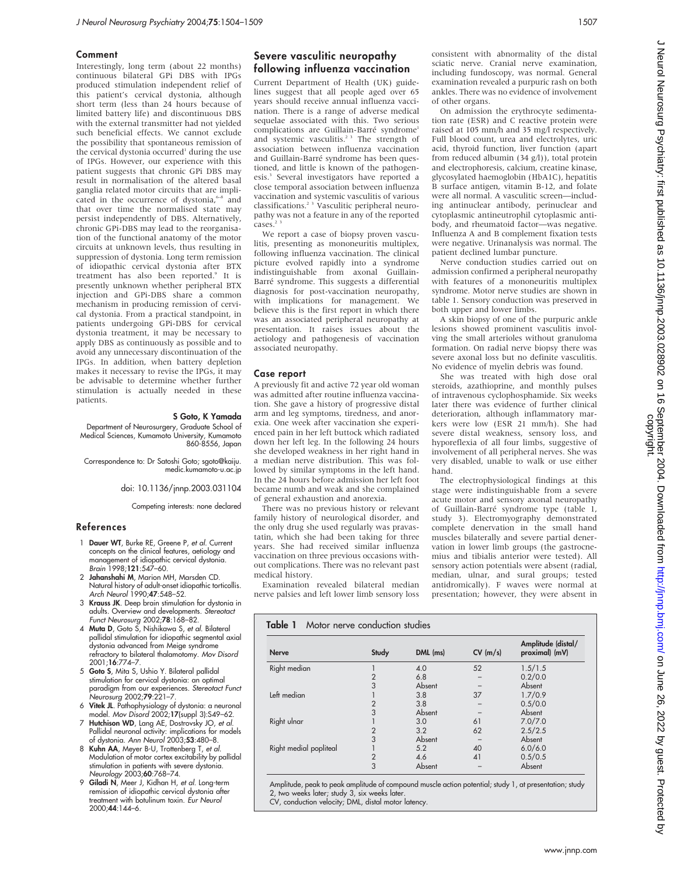## Comment

Interestingly, long term (about 22 months) continuous bilateral GPi DBS with IPGs produced stimulation independent relief of this patient's cervical dystonia, although short term (less than 24 hours because of limited battery life) and discontinuous DBS with the external transmitter had not yielded such beneficial effects. We cannot exclude the possibility that spontaneous remission of the cervical dystonia occurred<sup>1</sup> during the use of IPGs. However, our experience with this patient suggests that chronic GPi DBS may result in normalisation of the altered basal ganglia related motor circuits that are implicated in the occurrence of dystonia,<sup>6-8</sup> and that over time the normalised state may persist independently of DBS. Alternatively, chronic GPi-DBS may lead to the reorganisation of the functional anatomy of the motor circuits at unknown levels, thus resulting in suppression of dystonia. Long term remission of idiopathic cervical dystonia after BTX treatment has also been reported.<sup>9</sup> It is presently unknown whether peripheral BTX injection and GPi-DBS share a common mechanism in producing remission of cervical dystonia. From a practical standpoint, in patients undergoing GPi-DBS for cervical dystonia treatment, it may be necessary to apply DBS as continuously as possible and to avoid any unnecessary discontinuation of the IPGs. In addition, when battery depletion makes it necessary to revise the IPGs, it may be advisable to determine whether further stimulation is actually needed in these patients.

## S Goto, K Yamada

Department of Neurosurgery, Graduate School of Medical Sciences, Kumamoto University, Kumamoto 860-8556, Japan

Correspondence to: Dr Satoshi Goto; sgoto@kaiju. medic.kumamoto-u.ac.jp

doi: 10.1136/jnnp.2003.031104

Competing interests: none declared

## References

- 1 Dauer WT, Burke RE, Greene P, et al. Current concepts on the clinical features, aetiology and management of idiopathic cervical dystonia. Brain 1998;121:547–60.
- 2 Jahanshahi M, Marion MH, Marsden CD. Natural history of adult-onset idiopathic torticollis. Arch Neurol 1990;47:548–52.
- 3 Krauss JK. Deep brain stimulation for dystonia in adults. Overview and developments. Stereotact Funct Neurosurg 2002;78:168-82.
- 4 Muta D, Goto S, Nishikawa S, et al. Bilateral pallidal stimulation for idiopathic segmental axial dystonia advanced from Meige syndrome refractory to bilateral thalamotomy. Mov Disord<br>2001;**16**:774–7.
- 5 Goto S, Mita S, Ushio Y. Bilateral pallidal stimulation for cervical dystonia: an optimal paradigm from our experiences. Stereotact Funct Neurosurg 2002;79:221-7.
- 6 Vitek JL. Pathophysiology of dystonia: a neuronal model. Mov Disord 2002;17(suppl 3):S49–62.
- 7 Hutchison WD, Lang AE, Dostrovsky JO, et al. Pallidal neuronal activity: implications for models of dystonia. Ann Neurol 2003;53:480–8.
- 8 Kuhn AA, Meyer B-U, Trottenberg T, et al. Modulation of motor cortex excitability by pallidal stimulation in patients with severe dystonia. Neurology 2003;60:768–74.
- 9 Giladi N, Meer J, Kidhan H, et al. Long-term remission of idiopathic cervical dystonia after treatment with botulinum toxin. Eur Neurol 2000;44:144–6.

# Severe vasculitic neuropathy following influenza vaccination

Current Department of Health (UK) guidelines suggest that all people aged over 65 years should receive annual influenza vaccination. There is a range of adverse medical sequelae associated with this. Two serious complications are Guillain-Barré syndrome<sup>1</sup> and systemic vasculitis.<sup>2 3</sup> The strength of association between influenza vaccination and Guillain-Barré syndrome has been questioned, and little is known of the pathogenesis.<sup>3</sup> Several investigators have reported a close temporal association between influenza vaccination and systemic vasculitis of various classifications.2 3 Vasculitic peripheral neuropathy was not a feature in any of the reported cases.<sup>23</sup>

We report a case of biopsy proven vasculitis, presenting as mononeuritis multiplex, following influenza vaccination. The clinical picture evolved rapidly into a syndrome indistinguishable from axonal Guillain-Barré syndrome. This suggests a differential diagnosis for post-vaccination neuropathy, with implications for management. We believe this is the first report in which there was an associated peripheral neuropathy at presentation. It raises issues about the aetiology and pathogenesis of vaccination associated neuropathy.

#### Case report

A previously fit and active 72 year old woman was admitted after routine influenza vaccination. She gave a history of progressive distal arm and leg symptoms, tiredness, and anorexia. One week after vaccination she experienced pain in her left buttock which radiated down her left leg. In the following 24 hours she developed weakness in her right hand in a median nerve distribution. This was followed by similar symptoms in the left hand. In the 24 hours before admission her left foot became numb and weak and she complained of general exhaustion and anorexia.

There was no previous history or relevant family history of neurological disorder, and the only drug she used regularly was pravastatin, which she had been taking for three years. She had received similar influenza vaccination on three previous occasions without complications. There was no relevant past medical history.

Examination revealed bilateral median nerve palsies and left lower limb sensory loss

consistent with abnormality of the distal sciatic nerve. Cranial nerve examination, including fundoscopy, was normal. General examination revealed a purpuric rash on both ankles. There was no evidence of involvement of other organs.

On admission the erythrocyte sedimentation rate (ESR) and C reactive protein were raised at 105 mm/h and 35 mg/l respectively. Full blood count, urea and electrolytes, uric acid, thyroid function, liver function (apart from reduced albumin (34 g/l)), total protein and electrophoresis, calcium, creatine kinase, glycosylated haemoglobin (HbA1C), hepatitis B surface antigen, vitamin B-12, and folate were all normal. A vasculitic screen—including antinuclear antibody, perinuclear and cytoplasmic antineutrophil cytoplasmic antibody, and rheumatoid factor—was negative. Influenza A and B complement fixation tests were negative. Urinanalysis was normal. The patient declined lumbar puncture.

Nerve conduction studies carried out on admission confirmed a peripheral neuropathy with features of a mononeuritis multiplex syndrome. Motor nerve studies are shown in table 1. Sensory conduction was preserved in both upper and lower limbs.

A skin biopsy of one of the purpuric ankle lesions showed prominent vasculitis involving the small arterioles without granuloma formation. On radial nerve biopsy there was severe axonal loss but no definite vasculitis. No evidence of myelin debris was found.

She was treated with high dose oral steroids, azathioprine, and monthly pulses of intravenous cyclophosphamide. Six weeks later there was evidence of further clinical deterioration, although inflammatory markers were low (ESR 21 mm/h). She had severe distal weakness, sensory loss, and hyporeflexia of all four limbs, suggestive of involvement of all peripheral nerves. She was very disabled, unable to walk or use either hand.

The electrophysiological findings at this stage were indistinguishable from a severe acute motor and sensory axonal neuropathy of Guillain-Barré syndrome type (table 1, study 3). Electromyography demonstrated complete denervation in the small hand muscles bilaterally and severe partial denervation in lower limb groups (the gastrocnemius and tibialis anterior were tested). All sensory action potentials were absent (radial, median, ulnar, and sural groups; tested antidromically). F waves were normal at presentation; however, they were absent in

## Table 1 Motor nerve conduction studies

| <b>Nerve</b>           | Study          | DML (ms) | $CV$ (m/s) | Amplitude (distal/<br>proximal) (mV) |
|------------------------|----------------|----------|------------|--------------------------------------|
| Right median           |                | 4.0      | 52         | 1.5/1.5                              |
|                        |                | 6.8      |            | 0.2/0.0                              |
|                        | 3              | Absent   |            | Absent                               |
| Left median            |                | 3.8      | 37         | 1.7/0.9                              |
|                        | $\overline{2}$ | 3.8      |            | 0.5/0.0                              |
|                        | 3              | Absent   |            | Absent                               |
| Right ulnar            |                | 3.0      | 61         | 7.0/7.0                              |
|                        | $\overline{2}$ | 3.2      | 62         | 2.5/2.5                              |
|                        | 3              | Absent   |            | Absent                               |
| Right medial popliteal |                | 5.2      | 40         | 6.0/6.0                              |
|                        | $\overline{2}$ | 4.6      | 41         | 0.5/0.5                              |
|                        | 3              | Absent   |            | Absent                               |
|                        |                |          |            |                                      |

Amplitude, peak to peak amplitude of compound muscle action potential; study 1, at presentation; study 2, two weeks later; study 3, six weeks later. CV, conduction velocity; DML, distal motor latency.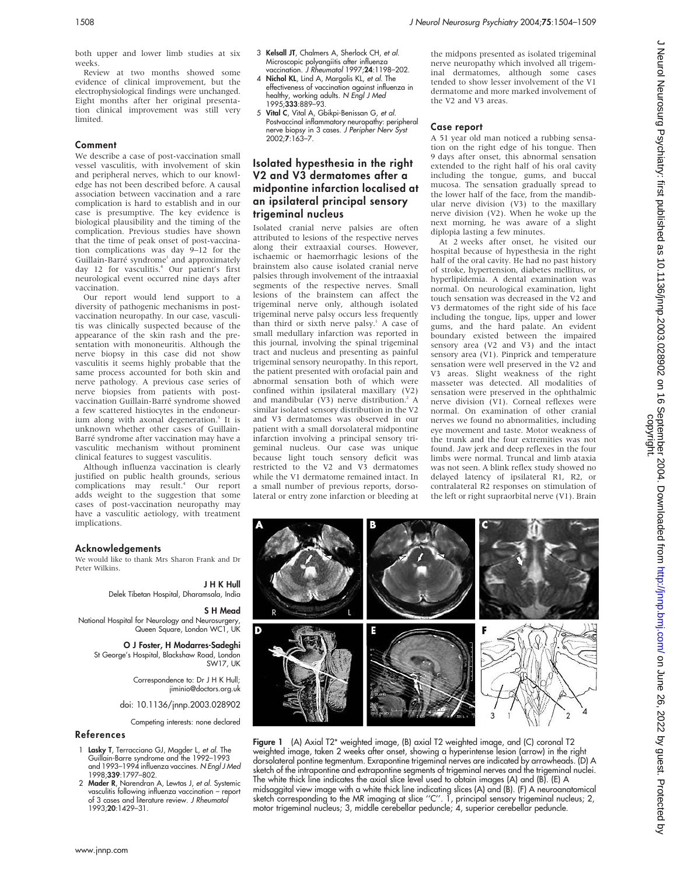both upper and lower limb studies at six weeks.

Review at two months showed some evidence of clinical improvement, but the electrophysiological findings were unchanged. Eight months after her original presentation clinical improvement was still very limited.

## Comment

We describe a case of post-vaccination small vessel vasculitis, with involvement of skin and peripheral nerves, which to our knowledge has not been described before. A causal association between vaccination and a rare complication is hard to establish and in our case is presumptive. The key evidence is biological plausibility and the timing of the complication. Previous studies have shown that the time of peak onset of post-vaccination complications was day 9–12 for the Guillain-Barré syndrome<sup>1</sup> and approximately day 12 for vasculitis.4 Our patient's first neurological event occurred nine days after vaccination.

Our report would lend support to a diversity of pathogenic mechanisms in postvaccination neuropathy. In our case, vasculitis was clinically suspected because of the appearance of the skin rash and the presentation with mononeuritis. Although the nerve biopsy in this case did not show vasculitis it seems highly probable that the same process accounted for both skin and nerve pathology. A previous case series of nerve biopsies from patients with postvaccination Guillain-Barre´ syndrome showed a few scattered histiocytes in the endoneurium along with axonal degeneration.<sup>5</sup> It is unknown whether other cases of Guillain-Barré syndrome after vaccination may have a vasculitic mechanism without prominent clinical features to suggest vasculitis.

Although influenza vaccination is clearly justified on public health grounds, serious complications may result.<sup>4</sup> Our report adds weight to the suggestion that some cases of post-vaccination neuropathy may have a vasculitic aetiology, with treatment implications.

# Acknowledgements

We would like to thank Mrs Sharon Frank and Dr Peter Wilkins.

> J H K Hull Delek Tibetan Hospital, Dharamsala, India

#### S H Mead

National Hospital for Neurology and Neurosurgery, Queen Square, London WC1, UK

> O J Foster, H Modarres-Sadeghi St George's Hospital, Blackshaw Road, London SW17, UK

> > Correspondence to: Dr J H K Hull; jiminio@doctors.org.uk

doi: 10.1136/jnnp.2003.028902

Competing interests: none declared

## References

- 1 Lasky T, Terracciano GJ, Magder L, et al. The Guillain-Barre syndrome and the 1992–1993 and 1993–1994 influenza vaccines. N Engl J Med 1998;339:1797–802.
- 2 Mader R, Narendran A, Lewtas J, et al. Systemic vasculitis following influenza vaccination – report of 3 cases and literature review. J Rheumatol 1993;20:1429–31.
- 3 Kelsall JT, Chalmers A, Sherlock CH, et al. Microscopic polyangiitis after influenza vaccination. J Rheumatol 1997;24:1198-202.
- 4 Nichol KL, Lind A, Margolis KL, et al. The effectiveness of vaccination against influenza in healthy, working adults. N Engl J Med 1995;333:889–93.
- 5 Vital C, Vital A, Gbikpi-Benissan G, et al. Postvaccinal inflammatory neuropathy: peripheral nerve biopsy in 3 cases. J Peripher Nerv Syst 2002;7:163–7.

# Isolated hypesthesia in the right V2 and V3 dermatomes after a midpontine infarction localised at an ipsilateral principal sensory trigeminal nucleus

Isolated cranial nerve palsies are often attributed to lesions of the respective nerves along their extraaxial courses. However, ischaemic or haemorrhagic lesions of the brainstem also cause isolated cranial nerve palsies through involvement of the intraaxial segments of the respective nerves. Small lesions of the brainstem can affect the trigeminal nerve only, although isolated trigeminal nerve palsy occurs less frequently than third or sixth nerve palsy.<sup>1</sup> A case of small medullary infarction was reported in this journal, involving the spinal trigeminal tract and nucleus and presenting as painful trigeminal sensory neuropathy. In this report, the patient presented with orofacial pain and abnormal sensation both of which were confined within ipsilateral maxillary (V2) and mandibular (V3) nerve distribution.<sup>2</sup> A similar isolated sensory distribution in the V2 and V3 dermatomes was observed in our patient with a small dorsolateral midpontine infarction involving a principal sensory trigeminal nucleus. Our case was unique because light touch sensory deficit was restricted to the V2 and V3 dermatomes while the V1 dermatome remained intact. In a small number of previous reports, dorsolateral or entry zone infarction or bleeding at the midpons presented as isolated trigeminal nerve neuropathy which involved all trigeminal dermatomes, although some cases tended to show lesser involvement of the V1 dermatome and more marked involvement of the V2 and V3 areas.

# Case report

A 51 year old man noticed a rubbing sensation on the right edge of his tongue. Then 9 days after onset, this abnormal sensation extended to the right half of his oral cavity including the tongue, gums, and buccal mucosa. The sensation gradually spread to the lower half of the face, from the mandibular nerve division (V3) to the maxillary nerve division (V2). When he woke up the next morning, he was aware of a slight diplopia lasting a few minutes.

At 2 weeks after onset, he visited our hospital because of hypesthesia in the right half of the oral cavity. He had no past history of stroke, hypertension, diabetes mellitus, or hyperlipidemia. A dental examination was normal. On neurological examination, light touch sensation was decreased in the V2 and V3 dermatomes of the right side of his face including the tongue, lips, upper and lower gums, and the hard palate. An evident boundary existed between the impaired sensory area (V2 and V3) and the intact sensory area (V1). Pinprick and temperature sensation were well preserved in the V2 and V3 areas. Slight weakness of the right masseter was detected. All modalities of sensation were preserved in the ophthalmic nerve division (V1). Corneal reflexes were normal. On examination of other cranial nerves we found no abnormalities, including eye movement and taste. Motor weakness of the trunk and the four extremities was not found. Jaw jerk and deep reflexes in the four limbs were normal. Truncal and limb ataxia was not seen. A blink reflex study showed no delayed latency of ipsilateral R1, R2, or contralateral R2 responses on stimulation of the left or right supraorbital nerve (V1). Brain